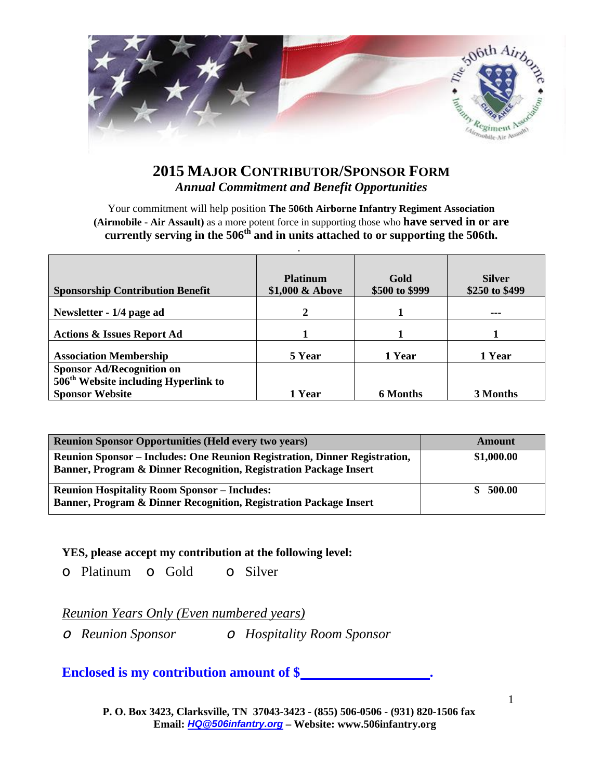

## **2015 MAJOR CONTRIBUTOR/SPONSOR FORM Annual Commitment and Benefit Opportunities**

Your commitment will help position The 506th Airborne Infantry Regiment Association (Airmobile - Air Assault) as a more potent force in supporting those who have served in or are currently serving in the 506<sup>th</sup> and in units attached to or supporting the 506th.

| <b>Sponsorship Contribution Benefit</b> | <b>Platinum</b><br>\$1,000 & Above | Gold<br>\$500 to \$999 | <b>Silver</b><br>\$250 to \$499 |
|-----------------------------------------|------------------------------------|------------------------|---------------------------------|
| Newsletter - 1/4 page ad                | 2                                  |                        |                                 |
| <b>Actions &amp; Issues Report Ad</b>   |                                    |                        |                                 |
| <b>Association Membership</b>           | 5 Year                             | 1 Year                 | 1 Year                          |
| <b>Sponsor Ad/Recognition on</b>        |                                    |                        |                                 |
| $506th$ Website including Hyperlink to  |                                    |                        |                                 |
| <b>Sponsor Website</b>                  | 1 Year                             | <b>6 Months</b>        | 3 Months                        |

| <b>Reunion Sponsor Opportunities (Held every two years)</b>                                                                                     | <b>Amount</b> |
|-------------------------------------------------------------------------------------------------------------------------------------------------|---------------|
| Reunion Sponsor – Includes: One Reunion Registration, Dinner Registration,<br>Banner, Program & Dinner Recognition, Registration Package Insert | \$1,000.00    |
| <b>Reunion Hospitality Room Sponsor – Includes:</b><br>Banner, Program & Dinner Recognition, Registration Package Insert                        | 500.00        |

#### YES, please accept my contribution at the following level:

 $\circ$  Platinum  $\circ$  Gold  $\circ$  Silver

#### Reunion Years Only (Even numbered years)

O Hospitality Room Sponsor  $\circ$  Reunion Sponsor

### Enclosed is my contribution amount of \$

P. O. Box 3423, Clarksville, TN 37043-3423 - (855) 506-0506 - (931) 820-1506 fax Email: HQ @506infantry.org - Website: www.506infantry.org